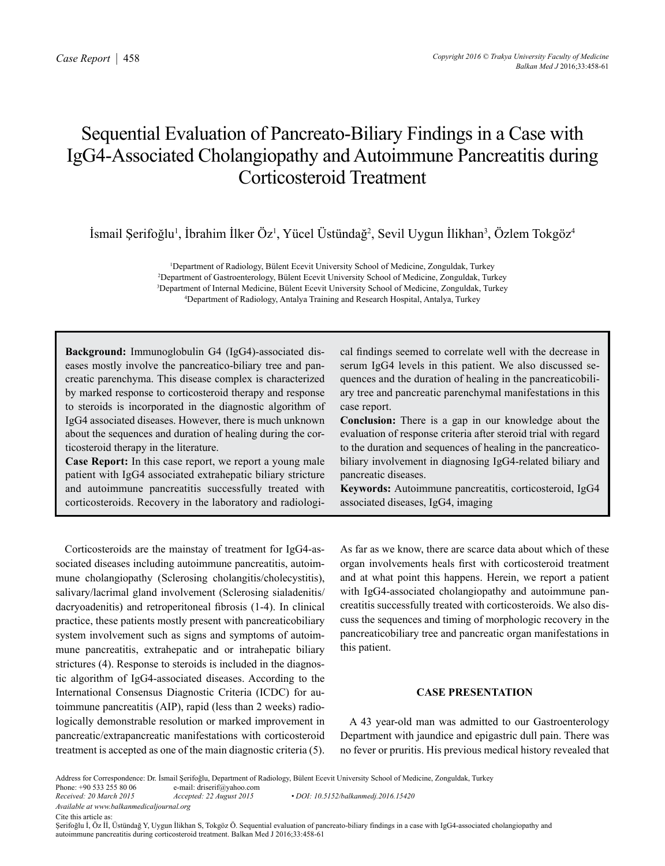# Sequential Evaluation of Pancreato-Biliary Findings in a Case with IgG4-Associated Cholangiopathy and Autoimmune Pancreatitis during Corticosteroid Treatment

İsmail Şerifoğlu<sup>1</sup>, İbrahim İlker Öz<sup>1</sup>, Yücel Üstündağ<sup>2</sup>, Sevil Uygun İlikhan<sup>3</sup>, Özlem Tokgöz<sup>4</sup>

1 Department of Radiology, Bülent Ecevit University School of Medicine, Zonguldak, Turkey 2 Department of Gastroenterology, Bülent Ecevit University School of Medicine, Zonguldak, Turkey <sup>3</sup>Department of Internal Medicine, Bülent Ecevit University School of Medicine, Zonguldak, Turkey<br><sup>4</sup>Department of Radiology, Antalya Training and Research Hospital, Antalya Turkey Department of Radiology, Antalya Training and Research Hospital, Antalya, Turkey

**Background:** Immunoglobulin G4 (IgG4)-associated diseases mostly involve the pancreatico-biliary tree and pancreatic parenchyma. This disease complex is characterized by marked response to corticosteroid therapy and response to steroids is incorporated in the diagnostic algorithm of IgG4 associated diseases. However, there is much unknown about the sequences and duration of healing during the corticosteroid therapy in the literature.

**Case Report:** In this case report, we report a young male patient with IgG4 associated extrahepatic biliary stricture and autoimmune pancreatitis successfully treated with corticosteroids. Recovery in the laboratory and radiologi-

cal findings seemed to correlate well with the decrease in serum IgG4 levels in this patient. We also discussed sequences and the duration of healing in the pancreaticobiliary tree and pancreatic parenchymal manifestations in this case report.

**Conclusion:** There is a gap in our knowledge about the evaluation of response criteria after steroid trial with regard to the duration and sequences of healing in the pancreaticobiliary involvement in diagnosing IgG4-related biliary and pancreatic diseases.

**Keywords:** Autoimmune pancreatitis, corticosteroid, IgG4 associated diseases, IgG4, imaging

Corticosteroids are the mainstay of treatment for IgG4-associated diseases including autoimmune pancreatitis, autoimmune cholangiopathy (Sclerosing cholangitis/cholecystitis), salivary/lacrimal gland involvement (Sclerosing sialadenitis/ dacryoadenitis) and retroperitoneal fibrosis (1-4). In clinical practice, these patients mostly present with pancreaticobiliary system involvement such as signs and symptoms of autoimmune pancreatitis, extrahepatic and or intrahepatic biliary strictures (4). Response to steroids is included in the diagnostic algorithm of IgG4-associated diseases. According to the International Consensus Diagnostic Criteria (ICDC) for autoimmune pancreatitis (AIP), rapid (less than 2 weeks) radiologically demonstrable resolution or marked improvement in pancreatic/extrapancreatic manifestations with corticosteroid treatment is accepted as one of the main diagnostic criteria (5).

As far as we know, there are scarce data about which of these organ involvements heals first with corticosteroid treatment and at what point this happens. Herein, we report a patient with IgG4-associated cholangiopathy and autoimmune pancreatitis successfully treated with corticosteroids. We also discuss the sequences and timing of morphologic recovery in the pancreaticobiliary tree and pancreatic organ manifestations in this patient.

## **CASE PRESENTATION**

A 43 year-old man was admitted to our Gastroenterology Department with jaundice and epigastric dull pain. There was no fever or pruritis. His previous medical history revealed that

Address for Correspondence: Dr. İsmail Şerifoğlu, Department of Radiology, Bülent Ecevit University School of Medicine, Zonguldak, Turkey Phone: +90 533 255 80 06 e-mail: driserif@yahoo.com

Phone: +90 533 255 80 06 e-mail: driserif@yahoo.com<br> *Received: 20 March 2015* Accepted: 22 August 2015

*Available at www.balkanmedicaljournal.org*

*Received: 20 March 2015 Accepted: 22 August 2015 • DOI: 10.5152/balkanmedj.2016.15420*

Cite this article as:

Şerifoğlu İ, Öz İİ, Üstündağ Y, Uygun İlikhan S, Tokgöz Ö. Sequential evaluation of pancreato-biliary findings in a case with IgG4-associated cholangiopathy and autoimmune pancreatitis during corticosteroid treatment. Balkan Med J 2016;33:458-61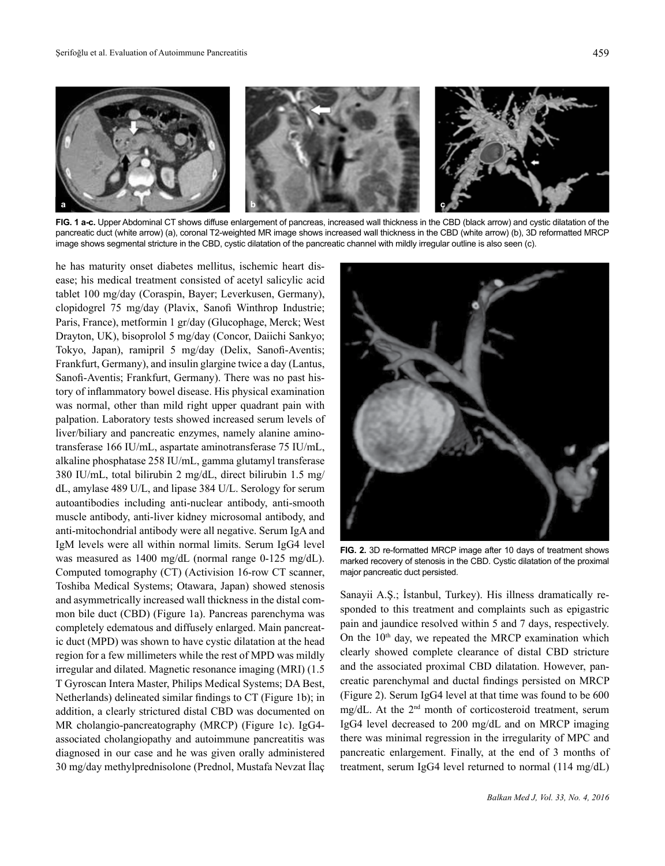

**FIG. 1 a-c.** Upper Abdominal CT shows diffuse enlargement of pancreas, increased wall thickness in the CBD (black arrow) and cystic dilatation of the pancreatic duct (white arrow) (a), coronal T2-weighted MR image shows increased wall thickness in the CBD (white arrow) (b), 3D reformatted MRCP image shows segmental stricture in the CBD, cystic dilatation of the pancreatic channel with mildly irregular outline is also seen (c).

he has maturity onset diabetes mellitus, ischemic heart disease; his medical treatment consisted of acetyl salicylic acid tablet 100 mg/day (Coraspin, Bayer; Leverkusen, Germany), clopidogrel 75 mg/day (Plavix, Sanofi Winthrop Industrie; Paris, France), metformin 1 gr/day (Glucophage, Merck; West Drayton, UK), bisoprolol 5 mg/day (Concor, Daiichi Sankyo; Tokyo, Japan), ramipril 5 mg/day (Delix, Sanofi-Aventis; Frankfurt, Germany), and insulin glargine twice a day (Lantus, Sanofi-Aventis; Frankfurt, Germany). There was no past history of inflammatory bowel disease. His physical examination was normal, other than mild right upper quadrant pain with palpation. Laboratory tests showed increased serum levels of liver/biliary and pancreatic enzymes, namely alanine aminotransferase 166 IU/mL, aspartate aminotransferase 75 IU/mL, alkaline phosphatase 258 IU/mL, gamma glutamyl transferase 380 IU/mL, total bilirubin 2 mg/dL, direct bilirubin 1.5 mg/ dL, amylase 489 U/L, and lipase 384 U/L. Serology for serum autoantibodies including anti-nuclear antibody, anti-smooth muscle antibody, anti-liver kidney microsomal antibody, and anti-mitochondrial antibody were all negative. Serum IgA and IgM levels were all within normal limits. Serum IgG4 level was measured as 1400 mg/dL (normal range 0-125 mg/dL). Computed tomography (CT) (Activision 16-row CT scanner, Toshiba Medical Systems; Otawara, Japan) showed stenosis and asymmetrically increased wall thickness in the distal common bile duct (CBD) (Figure 1a). Pancreas parenchyma was completely edematous and diffusely enlarged. Main pancreatic duct (MPD) was shown to have cystic dilatation at the head region for a few millimeters while the rest of MPD was mildly irregular and dilated. Magnetic resonance imaging (MRI) (1.5 T Gyroscan Intera Master, Philips Medical Systems; DA Best, Netherlands) delineated similar findings to CT (Figure 1b); in addition, a clearly strictured distal CBD was documented on MR cholangio-pancreatography (MRCP) (Figure 1c). IgG4 associated cholangiopathy and autoimmune pancreatitis was diagnosed in our case and he was given orally administered 30 mg/day methylprednisolone (Prednol, Mustafa Nevzat İlaç



**FIG. 2.** 3D re-formatted MRCP image after 10 days of treatment shows marked recovery of stenosis in the CBD. Cystic dilatation of the proximal major pancreatic duct persisted.

Sanayii A.Ş.; İstanbul, Turkey). His illness dramatically responded to this treatment and complaints such as epigastric pain and jaundice resolved within 5 and 7 days, respectively. On the  $10<sup>th</sup>$  day, we repeated the MRCP examination which clearly showed complete clearance of distal CBD stricture and the associated proximal CBD dilatation. However, pancreatic parenchymal and ductal findings persisted on MRCP (Figure 2). Serum IgG4 level at that time was found to be 600 mg/dL. At the 2nd month of corticosteroid treatment, serum IgG4 level decreased to 200 mg/dL and on MRCP imaging there was minimal regression in the irregularity of MPC and pancreatic enlargement. Finally, at the end of 3 months of treatment, serum IgG4 level returned to normal (114 mg/dL)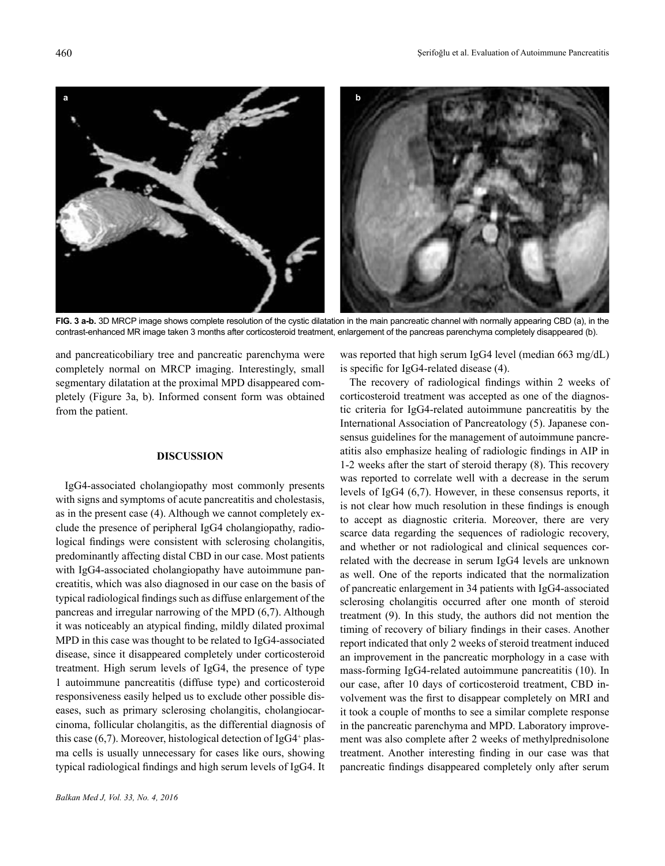

**FIG. 3 a-b.** 3D MRCP image shows complete resolution of the cystic dilatation in the main pancreatic channel with normally appearing CBD (a), in the contrast-enhanced MR image taken 3 months after corticosteroid treatment, enlargement of the pancreas parenchyma completely disappeared (b).

and pancreaticobiliary tree and pancreatic parenchyma were completely normal on MRCP imaging. Interestingly, small segmentary dilatation at the proximal MPD disappeared completely (Figure 3a, b). Informed consent form was obtained from the patient.

### **DISCUSSION**

IgG4-associated cholangiopathy most commonly presents with signs and symptoms of acute pancreatitis and cholestasis, as in the present case (4). Although we cannot completely exclude the presence of peripheral IgG4 cholangiopathy, radiological findings were consistent with sclerosing cholangitis, predominantly affecting distal CBD in our case. Most patients with IgG4-associated cholangiopathy have autoimmune pancreatitis, which was also diagnosed in our case on the basis of typical radiological findings such as diffuse enlargement of the pancreas and irregular narrowing of the MPD (6,7). Although it was noticeably an atypical finding, mildly dilated proximal MPD in this case was thought to be related to IgG4-associated disease, since it disappeared completely under corticosteroid treatment. High serum levels of IgG4, the presence of type 1 autoimmune pancreatitis (diffuse type) and corticosteroid responsiveness easily helped us to exclude other possible diseases, such as primary sclerosing cholangitis, cholangiocarcinoma, follicular cholangitis, as the differential diagnosis of this case (6,7). Moreover, histological detection of IgG4<sup>+</sup> plasma cells is usually unnecessary for cases like ours, showing typical radiological findings and high serum levels of IgG4. It

was reported that high serum IgG4 level (median 663 mg/dL) is specific for IgG4-related disease (4).

The recovery of radiological findings within 2 weeks of corticosteroid treatment was accepted as one of the diagnostic criteria for IgG4-related autoimmune pancreatitis by the International Association of Pancreatology (5). Japanese consensus guidelines for the management of autoimmune pancreatitis also emphasize healing of radiologic findings in AIP in 1-2 weeks after the start of steroid therapy (8). This recovery was reported to correlate well with a decrease in the serum levels of IgG4 (6,7). However, in these consensus reports, it is not clear how much resolution in these findings is enough to accept as diagnostic criteria. Moreover, there are very scarce data regarding the sequences of radiologic recovery, and whether or not radiological and clinical sequences correlated with the decrease in serum IgG4 levels are unknown as well. One of the reports indicated that the normalization of pancreatic enlargement in 34 patients with IgG4-associated sclerosing cholangitis occurred after one month of steroid treatment (9). In this study, the authors did not mention the timing of recovery of biliary findings in their cases. Another report indicated that only 2 weeks of steroid treatment induced an improvement in the pancreatic morphology in a case with mass-forming IgG4-related autoimmune pancreatitis (10). In our case, after 10 days of corticosteroid treatment, CBD involvement was the first to disappear completely on MRI and it took a couple of months to see a similar complete response in the pancreatic parenchyma and MPD. Laboratory improvement was also complete after 2 weeks of methylprednisolone treatment. Another interesting finding in our case was that pancreatic findings disappeared completely only after serum